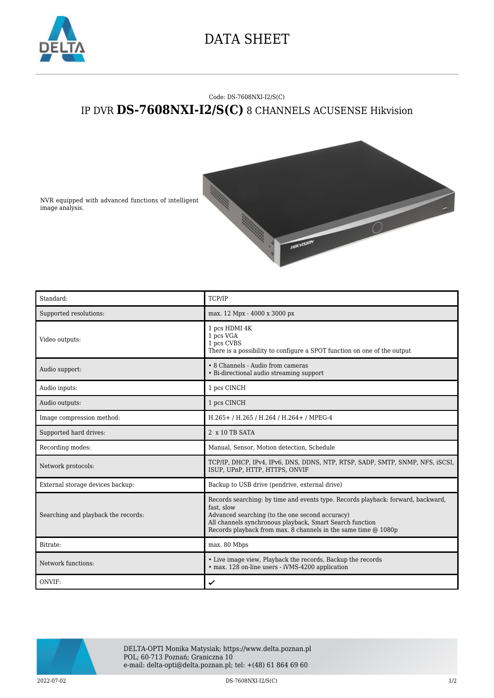

## DATA SHEET

## Code: DS-7608NXI-I2/S(C) IP DVR **DS-7608NXI-I2/S(C)** 8 CHANNELS ACUSENSE Hikvision



NVR equipped with advanced functions of intelligent image analysis.

| Standard:                           | TCP/IP                                                                                                                                                                                                                                                                          |
|-------------------------------------|---------------------------------------------------------------------------------------------------------------------------------------------------------------------------------------------------------------------------------------------------------------------------------|
| Supported resolutions:              | max. 12 Mpx - 4000 x 3000 px                                                                                                                                                                                                                                                    |
| Video outputs:                      | 1 pcs HDMI 4K<br>1 pcs VGA<br>1 pcs CVBS<br>There is a possibility to configure a SPOT function on one of the output                                                                                                                                                            |
| Audio support:                      | • 8 Channels - Audio from cameras<br>• Bi-directional audio streaming support                                                                                                                                                                                                   |
| Audio inputs:                       | 1 pcs CINCH                                                                                                                                                                                                                                                                     |
| Audio outputs:                      | 1 pcs CINCH                                                                                                                                                                                                                                                                     |
| Image compression method:           | H.265+/H.265/H.264/H.264+/MPEG-4                                                                                                                                                                                                                                                |
| Supported hard drives:              | $2 \times 10$ TB SATA                                                                                                                                                                                                                                                           |
| Recording modes:                    | Manual, Sensor, Motion detection, Schedule                                                                                                                                                                                                                                      |
| Network protocols:                  | TCP/IP, DHCP, IPv4, IPv6, DNS, DDNS, NTP, RTSP, SADP, SMTP, SNMP, NFS, iSCSI,<br>ISUP, UPnP, HTTP, HTTPS, ONVIF                                                                                                                                                                 |
| External storage devices backup:    | Backup to USB drive (pendrive, external drive)                                                                                                                                                                                                                                  |
| Searching and playback the records: | Records searching: by time and events type. Records playback: forward, backward,<br>fast. slow<br>Advanced searching (to the one second accuracy)<br>All channels synchronous playback, Smart Search function<br>Records playback from max. 8 channels in the same time @ 1080p |
| Bitrate:                            | max. 80 Mbps                                                                                                                                                                                                                                                                    |
| Network functions:                  | • Live image view, Playback the records, Backup the records<br>• max. 128 on-line users - iVMS-4200 application                                                                                                                                                                 |
| ONVIF:                              | ✓                                                                                                                                                                                                                                                                               |



DELTA-OPTI Monika Matysiak; https://www.delta.poznan.pl POL; 60-713 Poznań; Graniczna 10 e-mail: delta-opti@delta.poznan.pl; tel: +(48) 61 864 69 60